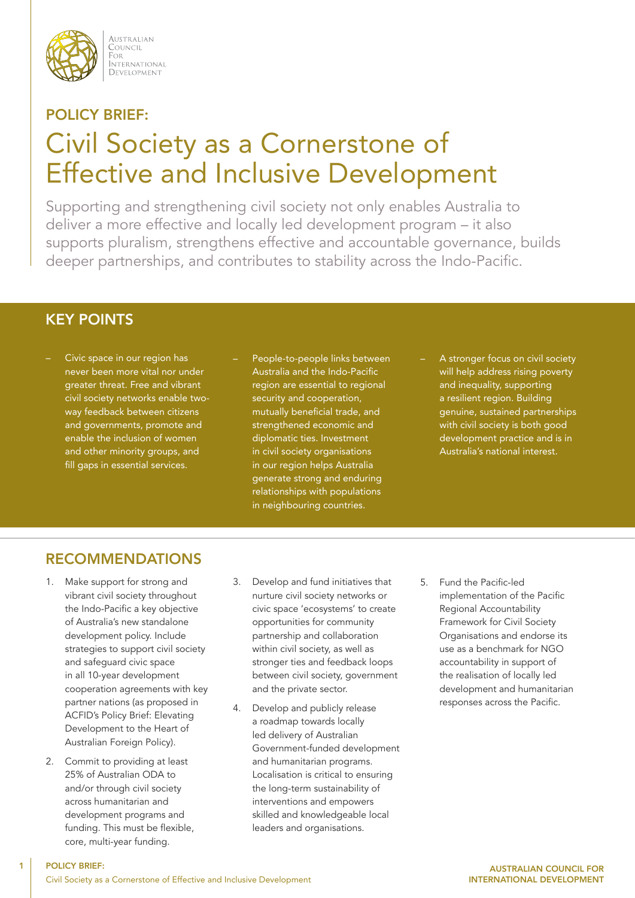

AUSTRALIAN COUNCIL FOR i or<br>International DEVELOPMENT

# POLICY BRIEF: Civil Society as a Cornerstone of Effective and Inclusive Development

Supporting and strengthening civil society not only enables Australia to deliver a more effective and locally led development program – it also supports pluralism, strengthens effective and accountable governance, builds deeper partnerships, and contributes to stability across the Indo-Pacific.

## KEY POINTS

- Civic space in our region has never been more vital nor under greater threat. Free and vibrant civil society networks enable twoway feedback between citizens and governments, promote and enable the inclusion of women and other minority groups, and fill gaps in essential services.
- People-to-people links between Australia and the Indo-Pacific region are essential to regional security and cooperation, mutually beneficial trade, and strengthened economic and diplomatic ties. Investment in civil society organisations in our region helps Australia generate strong and enduring relationships with populations in neighbouring countries.
- A stronger focus on civil society will help address rising poverty and inequality, supporting a resilient region. Building genuine, sustained partnerships with civil society is both good development practice and is in Australia's national interest.

# RECOMMENDATIONS

- 1. Make support for strong and vibrant civil society throughout the Indo-Pacific a key objective of Australia's new standalone development policy. Include strategies to support civil society and safeguard civic space in all 10-year development cooperation agreements with key partner nations (as proposed in ACFID's Policy Brief: Elevating Development to the Heart of Australian Foreign Policy).
- 2. Commit to providing at least 25% of Australian ODA to and/or through civil society across humanitarian and development programs and funding. This must be flexible, core, multi-year funding.

- 3. Develop and fund initiatives that nurture civil society networks or civic space 'ecosystems' to create opportunities for community partnership and collaboration within civil society, as well as stronger ties and feedback loops between civil society, government and the private sector.
- 4. Develop and publicly release a roadmap towards locally led delivery of Australian Government-funded development and humanitarian programs. Localisation is critical to ensuring the long-term sustainability of interventions and empowers skilled and knowledgeable local leaders and organisations.
- 5. Fund the Pacific-led implementation of the Pacific Regional Accountability Framework for Civil Society Organisations and endorse its use as a benchmark for NGO accountability in support of the realisation of locally led development and humanitarian responses across the Pacific.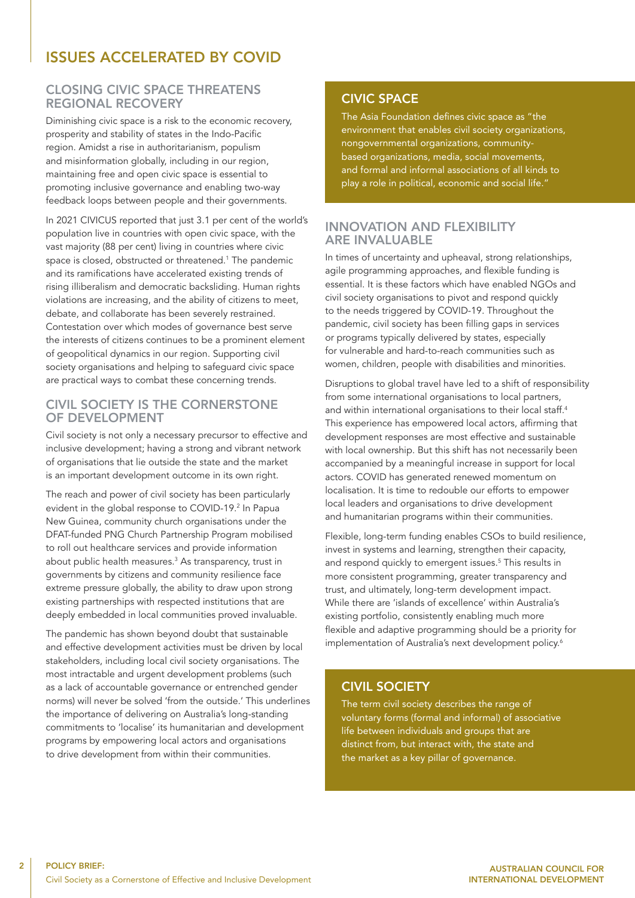## ISSUES ACCELERATED BY COVID

#### CLOSING CIVIC SPACE THREATENS REGIONAL RECOVERY

Diminishing civic space is a risk to the economic recovery, prosperity and stability of states in the Indo-Pacific region. Amidst a rise in authoritarianism, populism and misinformation globally, including in our region, maintaining free and open civic space is essential to promoting inclusive governance and enabling two-way feedback loops between people and their governments.

In 2021 CIVICUS reported that just 3.1 per cent of the world's population live in countries with open civic space, with the vast majority (88 per cent) living in countries where civic space is closed, obstructed or threatened.<sup>1</sup> The pandemic and its ramifications have accelerated existing trends of rising illiberalism and democratic backsliding. Human rights violations are increasing, and the ability of citizens to meet, debate, and collaborate has been severely restrained. Contestation over which modes of governance best serve the interests of citizens continues to be a prominent element of geopolitical dynamics in our region. Supporting civil society organisations and helping to safeguard civic space are practical ways to combat these concerning trends.

#### CIVIL SOCIETY IS THE CORNERSTONE OF DEVELOPMENT

Civil society is not only a necessary precursor to effective and inclusive development; having a strong and vibrant network of organisations that lie outside the state and the market is an important development outcome in its own right.

The reach and power of civil society has been particularly evident in the global response to COVID-19.<sup>2</sup> In Papua New Guinea, community church organisations under the DFAT-funded PNG Church Partnership Program mobilised to roll out healthcare services and provide information about public health measures.<sup>3</sup> As transparency, trust in governments by citizens and community resilience face extreme pressure globally, the ability to draw upon strong existing partnerships with respected institutions that are deeply embedded in local communities proved invaluable.

The pandemic has shown beyond doubt that sustainable and effective development activities must be driven by local stakeholders, including local civil society organisations. The most intractable and urgent development problems (such as a lack of accountable governance or entrenched gender norms) will never be solved 'from the outside.' This underlines the importance of delivering on Australia's long-standing commitments to 'localise' its humanitarian and development programs by empowering local actors and organisations to drive development from within their communities.

#### CIVIC SPACE

The Asia Foundation defines civic space as "the environment that enables civil society organizations, nongovernmental organizations, communitybased organizations, media, social movements, and formal and informal associations of all kinds to play a role in political, economic and social life."

#### INNOVATION AND FLEXIBILITY ARE INVALUABLE

In times of uncertainty and upheaval, strong relationships, agile programming approaches, and flexible funding is essential. It is these factors which have enabled NGOs and civil society organisations to pivot and respond quickly to the needs triggered by COVID-19. Throughout the pandemic, civil society has been filling gaps in services or programs typically delivered by states, especially for vulnerable and hard-to-reach communities such as women, children, people with disabilities and minorities.

Disruptions to global travel have led to a shift of responsibility from some international organisations to local partners, and within international organisations to their local staff.<sup>4</sup> This experience has empowered local actors, affirming that development responses are most effective and sustainable with local ownership. But this shift has not necessarily been accompanied by a meaningful increase in support for local actors. COVID has generated renewed momentum on localisation. It is time to redouble our efforts to empower local leaders and organisations to drive development and humanitarian programs within their communities.

Flexible, long-term funding enables CSOs to build resilience, invest in systems and learning, strengthen their capacity, and respond quickly to emergent issues.<sup>5</sup> This results in more consistent programming, greater transparency and trust, and ultimately, long-term development impact. While there are 'islands of excellence' within Australia's existing portfolio, consistently enabling much more flexible and adaptive programming should be a priority for implementation of Australia's next development policy.<sup>6</sup>

#### CIVIL SOCIETY

The term civil society describes the range of voluntary forms (formal and informal) of associative life between individuals and groups that are distinct from, but interact with, the state and the market as a key pillar of governance.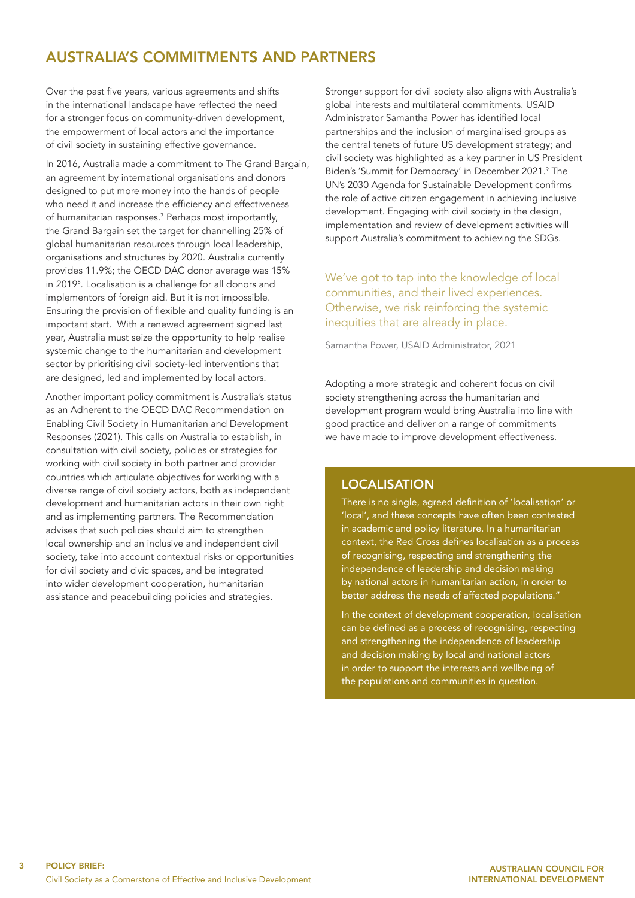## AUSTRALIA'S COMMITMENTS AND PARTNERS

Over the past five years, various agreements and shifts in the international landscape have reflected the need for a stronger focus on community-driven development, the empowerment of local actors and the importance of civil society in sustaining effective governance.

In 2016, Australia made a commitment to The Grand Bargain, an agreement by international organisations and donors designed to put more money into the hands of people who need it and increase the efficiency and effectiveness of humanitarian responses.7 Perhaps most importantly, the Grand Bargain set the target for channelling 25% of global humanitarian resources through local leadership, organisations and structures by 2020. Australia currently provides 11.9%; the OECD DAC donor average was 15% in 2019<sup>8</sup> . Localisation is a challenge for all donors and implementors of foreign aid. But it is not impossible. Ensuring the provision of flexible and quality funding is an important start. With a renewed agreement signed last year, Australia must seize the opportunity to help realise systemic change to the humanitarian and development sector by prioritising civil society-led interventions that are designed, led and implemented by local actors.

Another important policy commitment is Australia's status as an Adherent to the OECD DAC Recommendation on Enabling Civil Society in Humanitarian and Development Responses (2021). This calls on Australia to establish, in consultation with civil society, policies or strategies for working with civil society in both partner and provider countries which articulate objectives for working with a diverse range of civil society actors, both as independent development and humanitarian actors in their own right and as implementing partners. The Recommendation advises that such policies should aim to strengthen local ownership and an inclusive and independent civil society, take into account contextual risks or opportunities for civil society and civic spaces, and be integrated into wider development cooperation, humanitarian assistance and peacebuilding policies and strategies.

Stronger support for civil society also aligns with Australia's global interests and multilateral commitments. USAID Administrator Samantha Power has identified local partnerships and the inclusion of marginalised groups as the central tenets of future US development strategy; and civil society was highlighted as a key partner in US President Biden's 'Summit for Democracy' in December 2021.<sup>9</sup> The UN's 2030 Agenda for Sustainable Development confirms the role of active citizen engagement in achieving inclusive development. Engaging with civil society in the design, implementation and review of development activities will support Australia's commitment to achieving the SDGs.

We've got to tap into the knowledge of local communities, and their lived experiences. Otherwise, we risk reinforcing the systemic inequities that are already in place.

Samantha Power, USAID Administrator, 2021

Adopting a more strategic and coherent focus on civil society strengthening across the humanitarian and development program would bring Australia into line with good practice and deliver on a range of commitments we have made to improve development effectiveness.

#### LOCALISATION

There is no single, agreed definition of 'localisation' or 'local', and these concepts have often been contested in academic and policy literature. In a humanitarian context, the Red Cross defines localisation as a process of recognising, respecting and strengthening the independence of leadership and decision making by national actors in humanitarian action, in order to better address the needs of affected populations."

In the context of development cooperation, localisation can be defined as a process of recognising, respecting and strengthening the independence of leadership and decision making by local and national actors in order to support the interests and wellbeing of the populations and communities in question.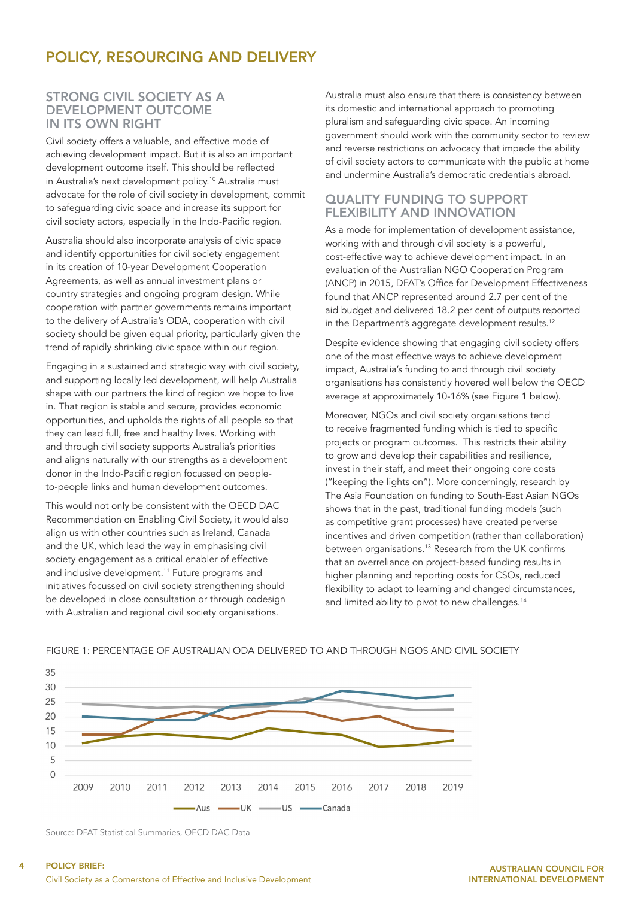## POLICY, RESOURCING AND DELIVERY

#### STRONG CIVIL SOCIETY AS A DEVELOPMENT OUTCOME IN ITS OWN RIGHT

Civil society offers a valuable, and effective mode of achieving development impact. But it is also an important development outcome itself. This should be reflected in Australia's next development policy.10 Australia must advocate for the role of civil society in development, commit to safeguarding civic space and increase its support for civil society actors, especially in the Indo-Pacific region.

Australia should also incorporate analysis of civic space and identify opportunities for civil society engagement in its creation of 10-year Development Cooperation Agreements, as well as annual investment plans or country strategies and ongoing program design. While cooperation with partner governments remains important to the delivery of Australia's ODA, cooperation with civil society should be given equal priority, particularly given the trend of rapidly shrinking civic space within our region.

Engaging in a sustained and strategic way with civil society, and supporting locally led development, will help Australia shape with our partners the kind of region we hope to live in. That region is stable and secure, provides economic opportunities, and upholds the rights of all people so that they can lead full, free and healthy lives. Working with and through civil society supports Australia's priorities and aligns naturally with our strengths as a development donor in the Indo-Pacific region focussed on peopleto-people links and human development outcomes.

This would not only be consistent with the OECD DAC Recommendation on Enabling Civil Society, it would also align us with other countries such as Ireland, Canada and the UK, which lead the way in emphasising civil society engagement as a critical enabler of effective and inclusive development.<sup>11</sup> Future programs and initiatives focussed on civil society strengthening should be developed in close consultation or through codesign with Australian and regional civil society organisations.

Australia must also ensure that there is consistency between its domestic and international approach to promoting pluralism and safeguarding civic space. An incoming government should work with the community sector to review and reverse restrictions on advocacy that impede the ability of civil society actors to communicate with the public at home and undermine Australia's democratic credentials abroad.

#### QUALITY FUNDING TO SUPPORT FLEXIBILITY AND INNOVATION

As a mode for implementation of development assistance, working with and through civil society is a powerful, cost-effective way to achieve development impact. In an evaluation of the Australian NGO Cooperation Program (ANCP) in 2015, DFAT's Office for Development Effectiveness found that ANCP represented around 2.7 per cent of the aid budget and delivered 18.2 per cent of outputs reported in the Department's aggregate development results.<sup>12</sup>

Despite evidence showing that engaging civil society offers one of the most effective ways to achieve development impact, Australia's funding to and through civil society organisations has consistently hovered well below the OECD average at approximately 10-16% (see Figure 1 below).

Moreover, NGOs and civil society organisations tend to receive fragmented funding which is tied to specific projects or program outcomes. This restricts their ability to grow and develop their capabilities and resilience, invest in their staff, and meet their ongoing core costs ("keeping the lights on"). More concerningly, research by The Asia Foundation on funding to South-East Asian NGOs shows that in the past, traditional funding models (such as competitive grant processes) have created perverse incentives and driven competition (rather than collaboration) between organisations.13 Research from the UK confirms that an overreliance on project-based funding results in higher planning and reporting costs for CSOs, reduced flexibility to adapt to learning and changed circumstances, and limited ability to pivot to new challenges.<sup>14</sup>



#### FIGURE 1: PERCENTAGE OF AUSTRALIAN ODA DELIVERED TO AND THROUGH NGOS AND CIVIL SOCIETY

Source: DFAT Statistical Summaries, OECD DAC Data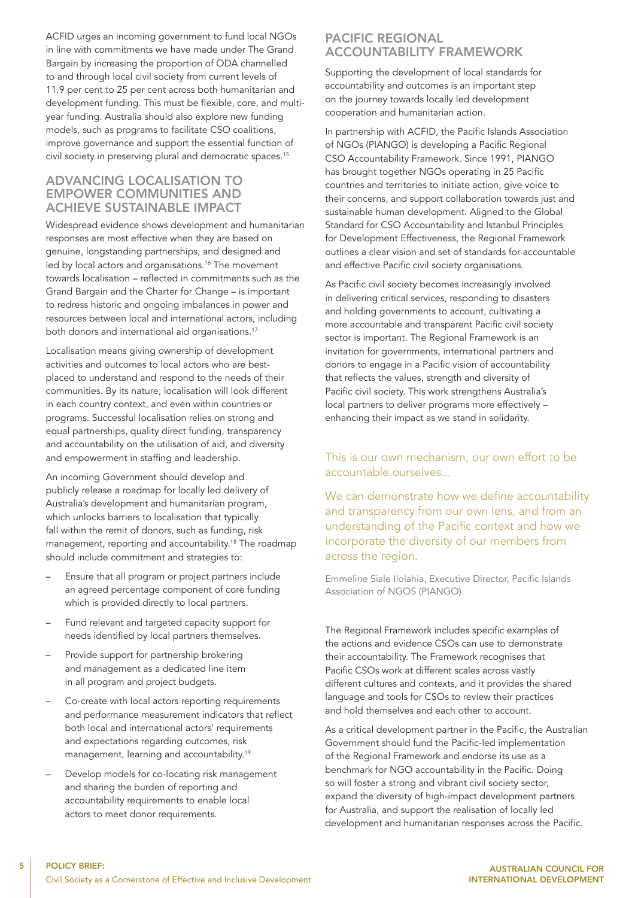ACFID urges an incoming government to fund local NGOs in line with commitments we have made under The Grand Bargain by increasing the proportion of ODA channelled to and through local civil society from current levels of 11.9 per cent to 25 per cent across both humanitarian and development funding. This must be flexible, core, and multiyear funding. Australia should also explore new funding models, such as programs to facilitate CSO coalitions, improve governance and support the essential function of civil society in preserving plural and democratic spaces.<sup>15</sup>

#### ADVANCING LOCALISATION TO EMPOWER COMMUNITIES AND ACHIEVE SUSTAINABLE IMPACT

Widespread evidence shows development and humanitarian responses are most effective when they are based on genuine, longstanding partnerships, and designed and led by local actors and organisations.<sup>16</sup> The movement towards localisation – reflected in commitments such as the Grand Bargain and the Charter for Change – is important to redress historic and ongoing imbalances in power and resources between local and international actors, including both donors and international aid organisations.<sup>17</sup>

Localisation means giving ownership of development activities and outcomes to local actors who are bestplaced to understand and respond to the needs of their communities. By its nature, localisation will look different in each country context, and even within countries or programs. Successful localisation relies on strong and equal partnerships, quality direct funding, transparency and accountability on the utilisation of aid, and diversity and empowerment in staffing and leadership.

An incoming Government should develop and publicly release a roadmap for locally led delivery of Australia's development and humanitarian program, which unlocks barriers to localisation that typically fall within the remit of donors, such as funding, risk management, reporting and accountability.18 The roadmap should include commitment and strategies to:

- Ensure that all program or project partners include an agreed percentage component of core funding which is provided directly to local partners.
- Fund relevant and targeted capacity support for needs identified by local partners themselves.
- Provide support for partnership brokering and management as a dedicated line item in all program and project budgets.
- Co-create with local actors reporting requirements and performance measurement indicators that reflect both local and international actors' requirements and expectations regarding outcomes, risk management, learning and accountability.<sup>19</sup>
- Develop models for co-locating risk management and sharing the burden of reporting and accountability requirements to enable local actors to meet donor requirements.

#### PACIFIC REGIONAL ACCOUNTABILITY FRAMEWORK

Supporting the development of local standards for accountability and outcomes is an important step on the journey towards locally led development cooperation and humanitarian action.

In partnership with ACFID, the Pacific Islands Association of NGOs (PIANGO) is developing a Pacific Regional CSO Accountability Framework. Since 1991, PIANGO has brought together NGOs operating in 25 Pacific countries and territories to initiate action, give voice to their concerns, and support collaboration towards just and sustainable human development. Aligned to the Global Standard for CSO Accountability and Istanbul Principles for Development Effectiveness, the Regional Framework outlines a clear vision and set of standards for accountable and effective Pacific civil society organisations.

As Pacific civil society becomes increasingly involved in delivering critical services, responding to disasters and holding governments to account, cultivating a more accountable and transparent Pacific civil society sector is important. The Regional Framework is an invitation for governments, international partners and donors to engage in a Pacific vision of accountability that reflects the values, strength and diversity of Pacific civil society. This work strengthens Australia's local partners to deliver programs more effectively – enhancing their impact as we stand in solidarity.

#### This is our own mechanism, our own effort to be accountable ourselves...

We can demonstrate how we define accountability and transparency from our own lens, and from an understanding of the Pacific context and how we incorporate the diversity of our members from across the region.

Emmeline Siale Ilolahia, Executive Director, Pacific Islands Association of NGOS (PIANGO)

The Regional Framework includes specific examples of the actions and evidence CSOs can use to demonstrate their accountability. The Framework recognises that Pacific CSOs work at different scales across vastly different cultures and contexts, and it provides the shared language and tools for CSOs to review their practices and hold themselves and each other to account.

As a critical development partner in the Pacific, the Australian Government should fund the Pacific-led implementation of the Regional Framework and endorse its use as a benchmark for NGO accountability in the Pacific. Doing so will foster a strong and vibrant civil society sector, expand the diversity of high-impact development partners for Australia, and support the realisation of locally led development and humanitarian responses across the Pacific.